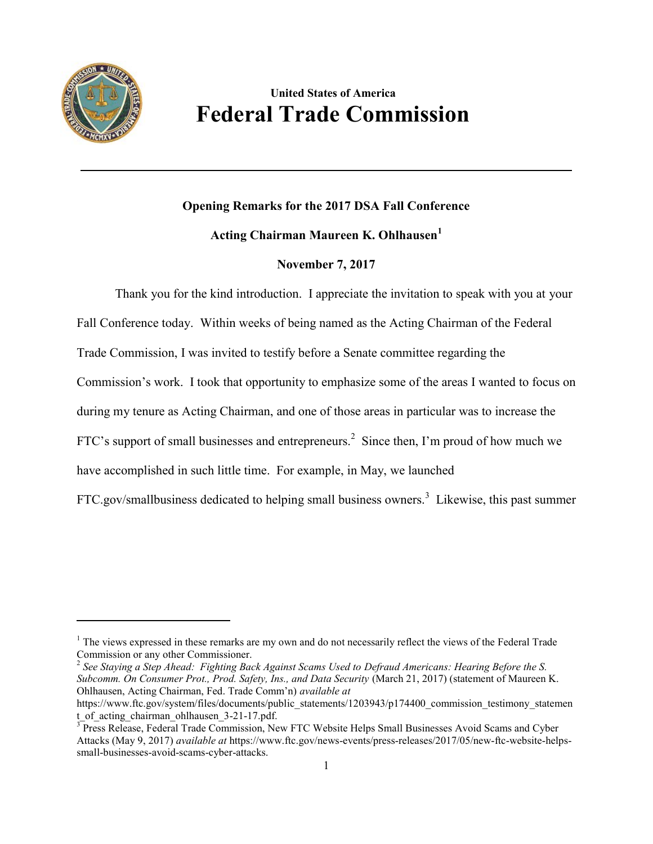

 $\overline{\phantom{a}}$ 

## **United States of America Federal Trade Commission**

## **Opening Remarks for the 2017 DSA Fall Conference**

## **Acting Chairman Maureen K. Ohlhausen<sup>1</sup>**

## **November 7, 2017**

Thank you for the kind introduction. I appreciate the invitation to speak with you at your

Fall Conference today. Within weeks of being named as the Acting Chairman of the Federal

Trade Commission, I was invited to testify before a Senate committee regarding the

Commission's work. I took that opportunity to emphasize some of the areas I wanted to focus on

during my tenure as Acting Chairman, and one of those areas in particular was to increase the

FTC's support of small businesses and entrepreneurs.<sup>2</sup> Since then, I'm proud of how much we

have accomplished in such little time. For example, in May, we launched

FTC.gov/smallbusiness dedicated to helping small business owners.<sup>3</sup> Likewise, this past summer

 $<sup>1</sup>$  The views expressed in these remarks are my own and do not necessarily reflect the views of the Federal Trade</sup> Commission or any other Commissioner.

<sup>2</sup> *See Staying a Step Ahead: Fighting Back Against Scams Used to Defraud Americans: Hearing Before the S. Subcomm. On Consumer Prot., Prod. Safety, Ins., and Data Security* (March 21, 2017) (statement of Maureen K. Ohlhausen, Acting Chairman, Fed. Trade Comm'n) *available at*

https://www.ftc.gov/system/files/documents/public\_statements/1203943/p174400\_commission\_testimony\_statemen t of acting chairman ohlhausen 3-21-17.pdf.

<sup>&</sup>lt;sup>3</sup> Press Release, Federal Trade Commission, New FTC Website Helps Small Businesses Avoid Scams and Cyber Attacks (May 9, 2017) *available at* https://www.ftc.gov/news-events/press-releases/2017/05/new-ftc-website-helpssmall-businesses-avoid-scams-cyber-attacks.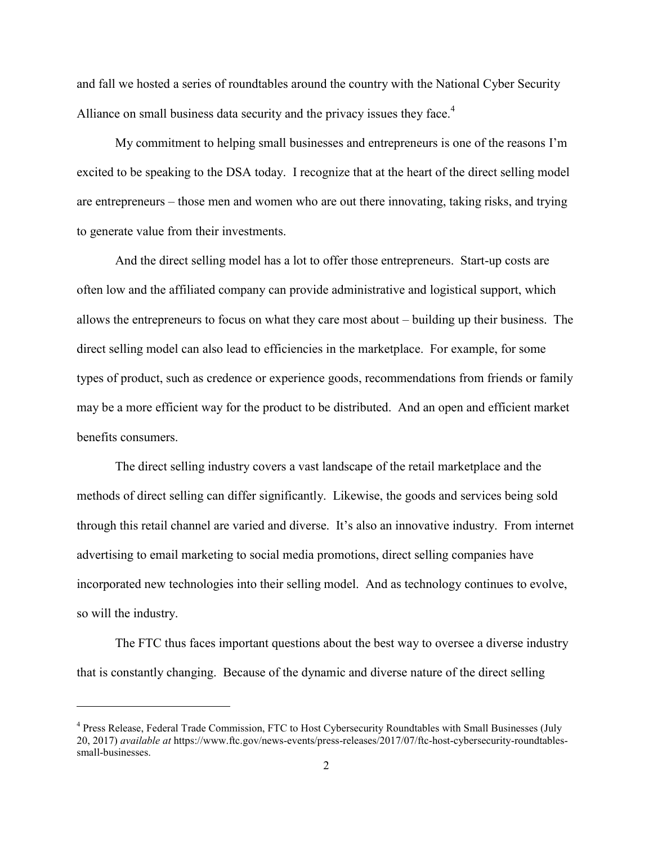and fall we hosted a series of roundtables around the country with the National Cyber Security Alliance on small business data security and the privacy issues they face.<sup>4</sup>

My commitment to helping small businesses and entrepreneurs is one of the reasons I'm excited to be speaking to the DSA today. I recognize that at the heart of the direct selling model are entrepreneurs – those men and women who are out there innovating, taking risks, and trying to generate value from their investments.

And the direct selling model has a lot to offer those entrepreneurs. Start-up costs are often low and the affiliated company can provide administrative and logistical support, which allows the entrepreneurs to focus on what they care most about – building up their business. The direct selling model can also lead to efficiencies in the marketplace. For example, for some types of product, such as credence or experience goods, recommendations from friends or family may be a more efficient way for the product to be distributed. And an open and efficient market benefits consumers.

The direct selling industry covers a vast landscape of the retail marketplace and the methods of direct selling can differ significantly. Likewise, the goods and services being sold through this retail channel are varied and diverse. It's also an innovative industry. From internet advertising to email marketing to social media promotions, direct selling companies have incorporated new technologies into their selling model. And as technology continues to evolve, so will the industry.

The FTC thus faces important questions about the best way to oversee a diverse industry that is constantly changing. Because of the dynamic and diverse nature of the direct selling

l

<sup>&</sup>lt;sup>4</sup> Press Release, Federal Trade Commission, FTC to Host Cybersecurity Roundtables with Small Businesses (July 20, 2017) *available at* https://www.ftc.gov/news-events/press-releases/2017/07/ftc-host-cybersecurity-roundtablessmall-businesses.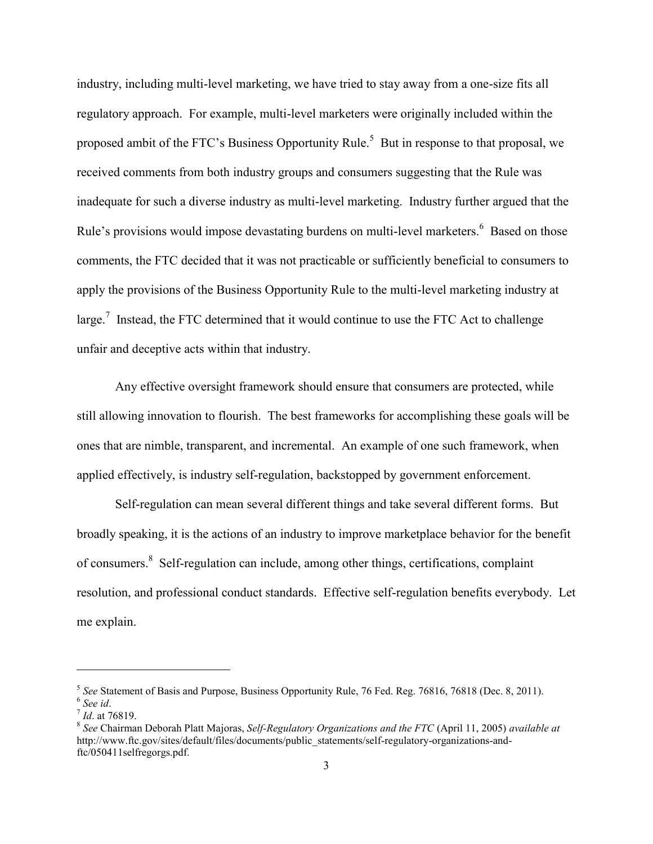industry, including multi-level marketing, we have tried to stay away from a one-size fits all regulatory approach. For example, multi-level marketers were originally included within the proposed ambit of the FTC's Business Opportunity Rule.<sup>5</sup> But in response to that proposal, we received comments from both industry groups and consumers suggesting that the Rule was inadequate for such a diverse industry as multi-level marketing. Industry further argued that the Rule's provisions would impose devastating burdens on multi-level marketers.<sup>6</sup> Based on those comments, the FTC decided that it was not practicable or sufficiently beneficial to consumers to apply the provisions of the Business Opportunity Rule to the multi-level marketing industry at large.<sup>7</sup> Instead, the FTC determined that it would continue to use the FTC Act to challenge unfair and deceptive acts within that industry.

Any effective oversight framework should ensure that consumers are protected, while still allowing innovation to flourish. The best frameworks for accomplishing these goals will be ones that are nimble, transparent, and incremental. An example of one such framework, when applied effectively, is industry self-regulation, backstopped by government enforcement.

Self-regulation can mean several different things and take several different forms. But broadly speaking, it is the actions of an industry to improve marketplace behavior for the benefit of consumers.<sup>8</sup> Self-regulation can include, among other things, certifications, complaint resolution, and professional conduct standards. Effective self-regulation benefits everybody. Let me explain.

 $\overline{\phantom{a}}$ 

<sup>5</sup> *See* Statement of Basis and Purpose, Business Opportunity Rule, 76 Fed. Reg. 76816, 76818 (Dec. 8, 2011). 6 *See id*.

<sup>7</sup> *Id*. at 76819.

<sup>8</sup> *See* Chairman Deborah Platt Majoras, *Self-Regulatory Organizations and the FTC* (April 11, 2005) *available at* http://www.ftc.gov/sites/default/files/documents/public\_statements/self-regulatory-organizations-andftc/050411selfregorgs.pdf.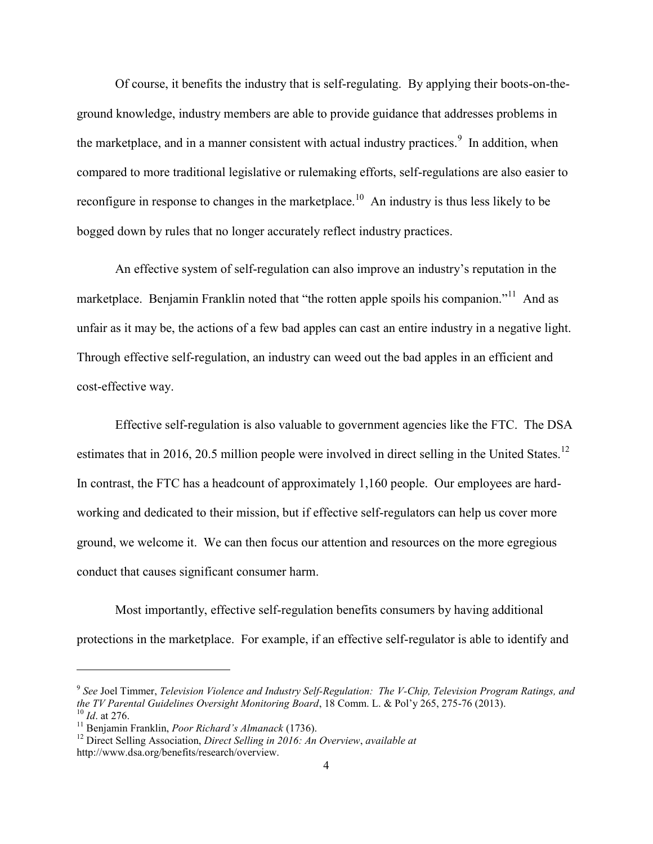Of course, it benefits the industry that is self-regulating. By applying their boots-on-theground knowledge, industry members are able to provide guidance that addresses problems in the marketplace, and in a manner consistent with actual industry practices.<sup>9</sup> In addition, when compared to more traditional legislative or rulemaking efforts, self-regulations are also easier to reconfigure in response to changes in the market place.<sup>10</sup> An industry is thus less likely to be bogged down by rules that no longer accurately reflect industry practices.

An effective system of self-regulation can also improve an industry's reputation in the marketplace. Benjamin Franklin noted that "the rotten apple spoils his companion."<sup>11</sup> And as unfair as it may be, the actions of a few bad apples can cast an entire industry in a negative light. Through effective self-regulation, an industry can weed out the bad apples in an efficient and cost-effective way.

Effective self-regulation is also valuable to government agencies like the FTC. The DSA estimates that in 2016, 20.5 million people were involved in direct selling in the United States.<sup>12</sup> In contrast, the FTC has a headcount of approximately 1,160 people. Our employees are hardworking and dedicated to their mission, but if effective self-regulators can help us cover more ground, we welcome it. We can then focus our attention and resources on the more egregious conduct that causes significant consumer harm.

Most importantly, effective self-regulation benefits consumers by having additional protections in the marketplace. For example, if an effective self-regulator is able to identify and

 $\overline{\phantom{a}}$ 

<sup>9</sup> *See* Joel Timmer, *Television Violence and Industry Self-Regulation: The V-Chip, Television Program Ratings, and the TV Parental Guidelines Oversight Monitoring Board*, 18 Comm. L. & Pol'y 265, 275-76 (2013). <sup>10</sup> *Id*. at 276.

<sup>11</sup> Benjamin Franklin, *Poor Richard's Almanack* (1736).

<sup>12</sup> Direct Selling Association, *Direct Selling in 2016: An Overview*, *available at* 

http://www.dsa.org/benefits/research/overview.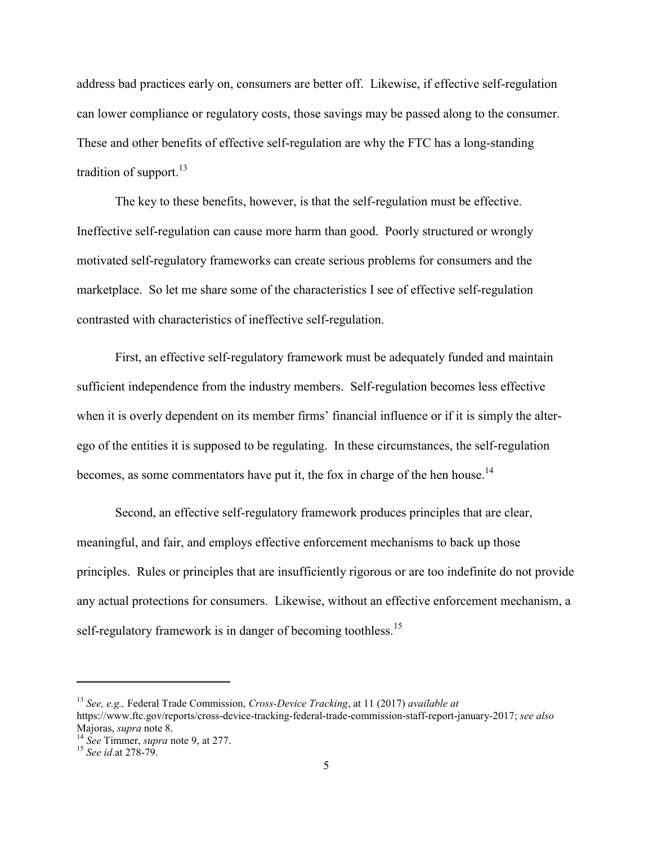address bad practices early on, consumers are better off. Likewise, if effective self-regulation can lower compliance or regulatory costs, those savings may be passed along to the consumer. These and other benefits of effective self-regulation are why the FTC has a long-standing tradition of support. $^{13}$ 

The key to these benefits, however, is that the self-regulation must be effective. Ineffective self-regulation can cause more harm than good. Poorly structured or wrongly motivated self-regulatory frameworks can create serious problems for consumers and the marketplace. So let me share some of the characteristics I see of effective self-regulation contrasted with characteristics of ineffective self-regulation.

First, an effective self-regulatory framework must be adequately funded and maintain sufficient independence from the industry members. Self-regulation becomes less effective when it is overly dependent on its member firms' financial influence or if it is simply the alterego of the entities it is supposed to be regulating. In these circumstances, the self-regulation becomes, as some commentators have put it, the fox in charge of the hen house.<sup>14</sup>

Second, an effective self-regulatory framework produces principles that are clear, meaningful, and fair, and employs effective enforcement mechanisms to back up those principles. Rules or principles that are insufficiently rigorous or are too indefinite do not provide any actual protections for consumers. Likewise, without an effective enforcement mechanism, a self-regulatory framework is in danger of becoming toothless.<sup>15</sup>

<sup>13</sup> *See, e.g.,* Federal Trade Commission, *Cross-Device Tracking*, at 11 (2017) *available at*  https://www.ftc.gov/reports/cross-device-tracking-federal-trade-commission-staff-report-january-2017; *see also*  Majoras, *supra* note 8.

l

<sup>14</sup> *See* Timmer, *supra* note 9, at 277.

<sup>15</sup> *See id*.at 278-79.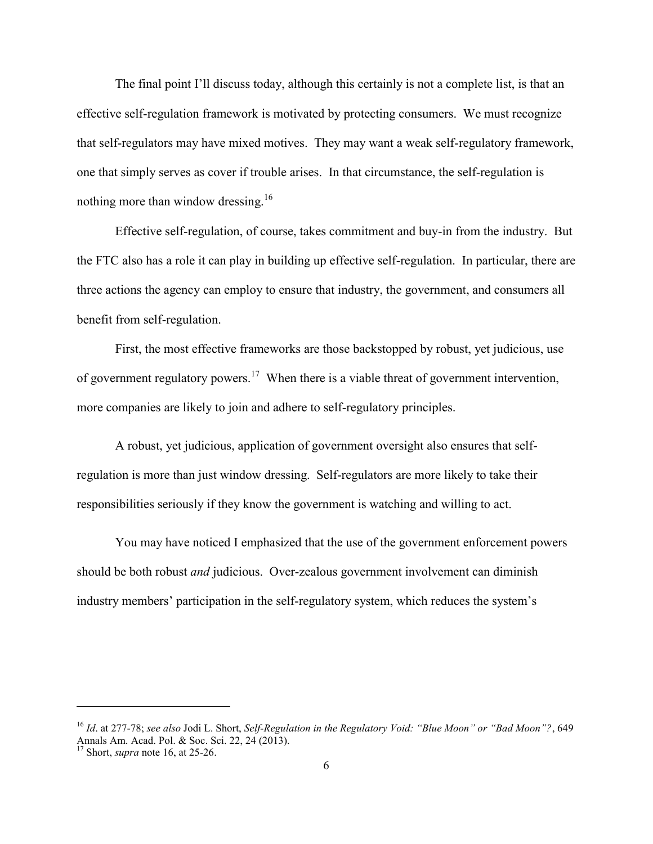The final point I'll discuss today, although this certainly is not a complete list, is that an effective self-regulation framework is motivated by protecting consumers. We must recognize that self-regulators may have mixed motives. They may want a weak self-regulatory framework, one that simply serves as cover if trouble arises. In that circumstance, the self-regulation is nothing more than window dressing.<sup>16</sup>

Effective self-regulation, of course, takes commitment and buy-in from the industry. But the FTC also has a role it can play in building up effective self-regulation. In particular, there are three actions the agency can employ to ensure that industry, the government, and consumers all benefit from self-regulation.

First, the most effective frameworks are those backstopped by robust, yet judicious, use of government regulatory powers.<sup>17</sup> When there is a viable threat of government intervention, more companies are likely to join and adhere to self-regulatory principles.

A robust, yet judicious, application of government oversight also ensures that selfregulation is more than just window dressing. Self-regulators are more likely to take their responsibilities seriously if they know the government is watching and willing to act.

You may have noticed I emphasized that the use of the government enforcement powers should be both robust *and* judicious. Over-zealous government involvement can diminish industry members' participation in the self-regulatory system, which reduces the system's

l

<sup>16</sup> *Id*. at 277-78; *see also* Jodi L. Short, *Self-Regulation in the Regulatory Void: "Blue Moon" or "Bad Moon"?*, 649 Annals Am. Acad. Pol. & Soc. Sci. 22, 24 (2013).

<sup>17</sup> Short, *supra* note 16, at 25-26.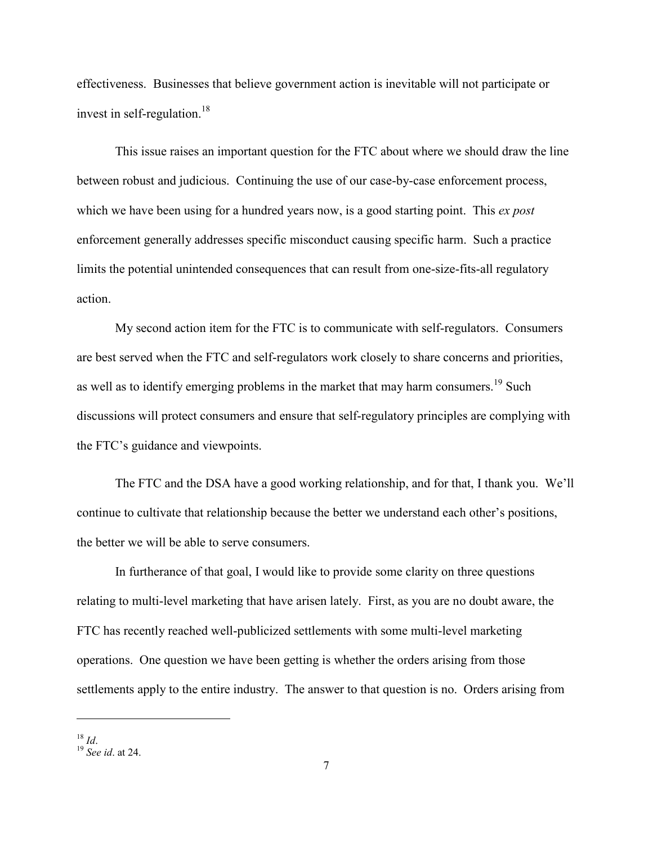effectiveness. Businesses that believe government action is inevitable will not participate or invest in self-regulation.<sup>18</sup>

This issue raises an important question for the FTC about where we should draw the line between robust and judicious. Continuing the use of our case-by-case enforcement process, which we have been using for a hundred years now, is a good starting point. This *ex post* enforcement generally addresses specific misconduct causing specific harm. Such a practice limits the potential unintended consequences that can result from one-size-fits-all regulatory action.

My second action item for the FTC is to communicate with self-regulators. Consumers are best served when the FTC and self-regulators work closely to share concerns and priorities, as well as to identify emerging problems in the market that may harm consumers.<sup>19</sup> Such discussions will protect consumers and ensure that self-regulatory principles are complying with the FTC's guidance and viewpoints.

The FTC and the DSA have a good working relationship, and for that, I thank you. We'll continue to cultivate that relationship because the better we understand each other's positions, the better we will be able to serve consumers.

In furtherance of that goal, I would like to provide some clarity on three questions relating to multi-level marketing that have arisen lately. First, as you are no doubt aware, the FTC has recently reached well-publicized settlements with some multi-level marketing operations. One question we have been getting is whether the orders arising from those settlements apply to the entire industry. The answer to that question is no. Orders arising from

 $\overline{a}$ 

 $18$  *Id.* 

<sup>19</sup> *See id*. at 24.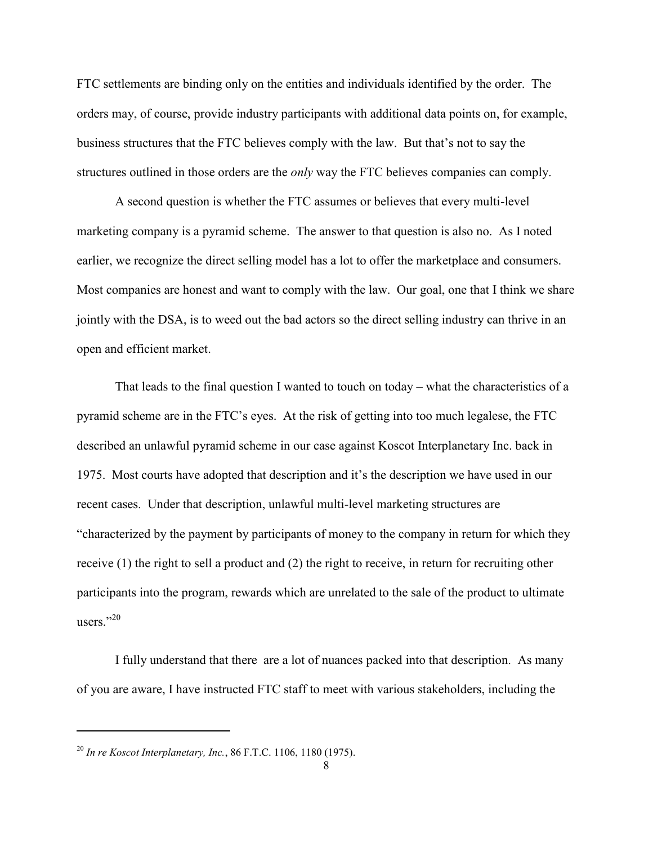FTC settlements are binding only on the entities and individuals identified by the order. The orders may, of course, provide industry participants with additional data points on, for example, business structures that the FTC believes comply with the law. But that's not to say the structures outlined in those orders are the *only* way the FTC believes companies can comply.

A second question is whether the FTC assumes or believes that every multi-level marketing company is a pyramid scheme. The answer to that question is also no. As I noted earlier, we recognize the direct selling model has a lot to offer the marketplace and consumers. Most companies are honest and want to comply with the law. Our goal, one that I think we share jointly with the DSA, is to weed out the bad actors so the direct selling industry can thrive in an open and efficient market.

That leads to the final question I wanted to touch on today – what the characteristics of a pyramid scheme are in the FTC's eyes. At the risk of getting into too much legalese, the FTC described an unlawful pyramid scheme in our case against Koscot Interplanetary Inc. back in 1975. Most courts have adopted that description and it's the description we have used in our recent cases. Under that description, unlawful multi-level marketing structures are "characterized by the payment by participants of money to the company in return for which they receive (1) the right to sell a product and (2) the right to receive, in return for recruiting other participants into the program, rewards which are unrelated to the sale of the product to ultimate users." $^{20}$ 

I fully understand that there are a lot of nuances packed into that description. As many of you are aware, I have instructed FTC staff to meet with various stakeholders, including the

 $\overline{\phantom{a}}$ 

<sup>20</sup> *In re Koscot Interplanetary, Inc.*, 86 F.T.C. 1106, 1180 (1975).